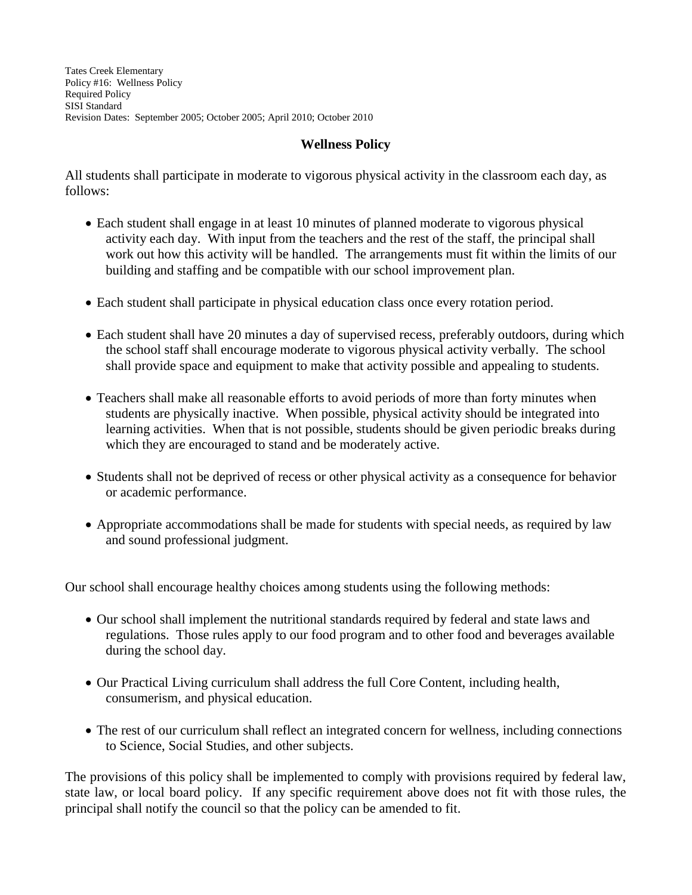Tates Creek Elementary Policy #16: Wellness Policy Required Policy SISI Standard Revision Dates: September 2005; October 2005; April 2010; October 2010

## **Wellness Policy**

All students shall participate in moderate to vigorous physical activity in the classroom each day, as follows:

- Each student shall engage in at least 10 minutes of planned moderate to vigorous physical activity each day. With input from the teachers and the rest of the staff, the principal shall work out how this activity will be handled. The arrangements must fit within the limits of our building and staffing and be compatible with our school improvement plan.
- Each student shall participate in physical education class once every rotation period.
- Each student shall have 20 minutes a day of supervised recess, preferably outdoors, during which the school staff shall encourage moderate to vigorous physical activity verbally. The school shall provide space and equipment to make that activity possible and appealing to students.
- Teachers shall make all reasonable efforts to avoid periods of more than forty minutes when students are physically inactive. When possible, physical activity should be integrated into learning activities. When that is not possible, students should be given periodic breaks during which they are encouraged to stand and be moderately active.
- Students shall not be deprived of recess or other physical activity as a consequence for behavior or academic performance.
- Appropriate accommodations shall be made for students with special needs, as required by law and sound professional judgment.

Our school shall encourage healthy choices among students using the following methods:

- Our school shall implement the nutritional standards required by federal and state laws and regulations. Those rules apply to our food program and to other food and beverages available during the school day.
- Our Practical Living curriculum shall address the full Core Content, including health, consumerism, and physical education.
- The rest of our curriculum shall reflect an integrated concern for wellness, including connections to Science, Social Studies, and other subjects.

The provisions of this policy shall be implemented to comply with provisions required by federal law, state law, or local board policy. If any specific requirement above does not fit with those rules, the principal shall notify the council so that the policy can be amended to fit.